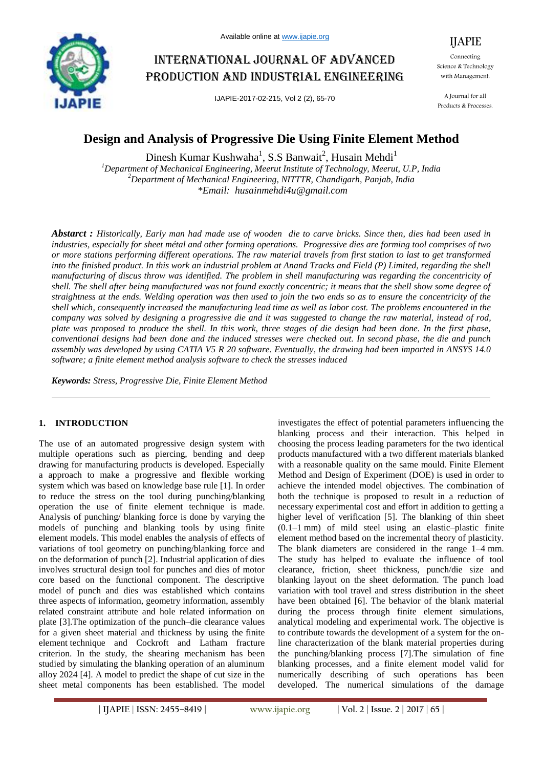

# International journal of advanced production and industrial engineering

IJAPIE-2017-02-215, Vol 2 (2), 65-70



Connecting Science & Technology with Management.

A Journal for all Products & Processes.

## **Design and Analysis of Progressive Die Using Finite Element Method**

Dinesh Kumar Kushwaha<sup>1</sup>, S.S Banwait<sup>2</sup>, Husain Mehdi<sup>1</sup> *<sup>1</sup>Department of Mechanical Engineering, Meerut Institute of Technology, Meerut, U.P, India <sup>2</sup>Department of Mechanical Engineering, NITTTR, Chandigarh, Panjab, India \*Email: husainmehdi4u@gmail.com*

*Abstarct : Historically, Early man had made use of wooden die to carve bricks. Since then, dies had been used in industries, especially for sheet métal and other forming operations. Progressive dies are forming tool comprises of two or more stations performing different operations. The raw material travels from first station to last to get transformed into the finished product. In this work an industrial problem at Anand Tracks and Field (P) Limited, regarding the shell manufacturing of discus throw was identified. The problem in shell manufacturing was regarding the concentricity of shell. The shell after being manufactured was not found exactly concentric; it means that the shell show some degree of straightness at the ends. Welding operation was then used to join the two ends so as to ensure the concentricity of the shell which, consequently increased the manufacturing lead time as well as labor cost. The problems encountered in the company was solved by designing a progressive die and it was suggested to change the raw material, instead of rod, plate was proposed to produce the shell. In this work, three stages of die design had been done. In the first phase, conventional designs had been done and the induced stresses were checked out. In second phase, the die and punch assembly was developed by using CATIA V5 R 20 software. Eventually, the drawing had been imported in ANSYS 14.0 software; a finite element method analysis software to check the stresses induced*

*Keywords: Stress, Progressive Die, Finite Element Method*

## **1. INTRODUCTION**

The use of an automated progressive design system with multiple operations such as piercing, bending and deep drawing for manufacturing products is developed. Especially a approach to make a progressive and flexible working system which was based on knowledge base rule [1]. In order to reduce the stress on the tool during punching/blanking operation the use of finite element technique is made. Analysis of punching/ blanking force is done by varying the models of punching and blanking tools by using finite element models. This model enables the analysis of effects of variations of tool geometry on punching/blanking force and on the deformation of punch [2]. Industrial application of dies involves structural design tool for punches and dies of motor core based on the functional component. The descriptive model of punch and dies was established which contains three aspects of information, geometry information, assembly related constraint attribute and hole related information on plate [3].The optimization of the punch–die clearance values for a given sheet material and thickness by using the finite element technique and Cockroft and Latham fracture criterion. In the study, the shearing mechanism has been studied by simulating the blanking operation of an aluminum alloy 2024 [4]. A model to predict the shape of cut size in the sheet metal components has been established. The model

investigates the effect of potential parameters influencing the blanking process and their interaction. This helped in choosing the process leading parameters for the two identical products manufactured with a two different materials blanked with a reasonable quality on the same mould. Finite Element Method and Design of Experiment (DOE) is used in order to achieve the intended model objectives. The combination of both the technique is proposed to result in a reduction of necessary experimental cost and effort in addition to getting a higher level of verification [5]. The blanking of thin sheet (0.1–1 mm) of mild steel using an elastic–plastic finite element method based on the incremental theory of plasticity. The blank diameters are considered in the range 1–4 mm. The study has helped to evaluate the influence of tool clearance, friction, sheet thickness, punch/die size and blanking layout on the sheet deformation. The punch load variation with tool travel and stress distribution in the sheet have been obtained [6]. The behavior of the blank material during the process through finite element simulations, analytical modeling and experimental work. The objective is to contribute towards the development of a system for the online characterization of the blank material properties during the punching/blanking process [7].The simulation of fine blanking processes, and a finite element model valid for numerically describing of such operations has been developed. The numerical simulations of the damage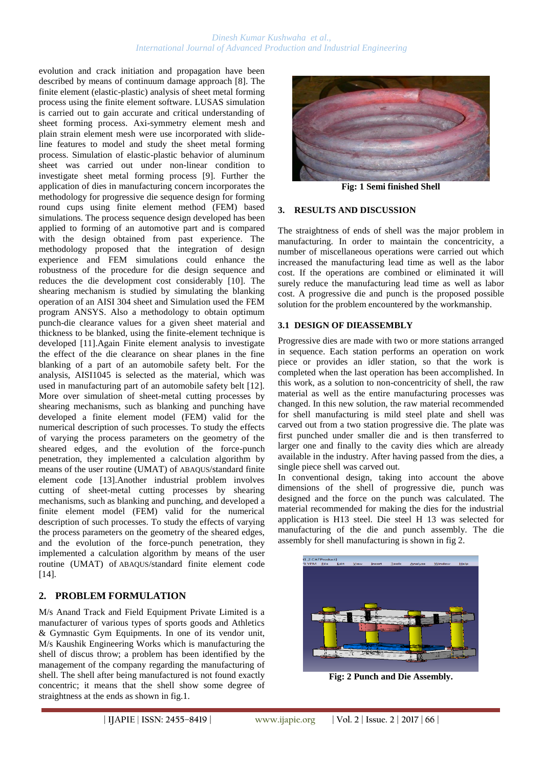#### *Dinesh Kumar Kushwaha et al., International Journal of Advanced Production and Industrial Engineering*

evolution and crack initiation and propagation have been described by means of continuum damage approach [8]. The finite element (elastic-plastic) analysis of sheet metal forming process using the finite element software. LUSAS simulation is carried out to gain accurate and critical understanding of sheet forming process. Axi-symmetry element mesh and plain strain element mesh were use incorporated with slideline features to model and study the sheet metal forming process. Simulation of elastic-plastic behavior of aluminum sheet was carried out under non-linear condition to investigate sheet metal forming process [9]. Further the application of dies in manufacturing concern incorporates the methodology for progressive die sequence design for forming round cups using finite element method (FEM) based simulations. The process sequence design developed has been applied to forming of an automotive part and is compared with the design obtained from past experience. The methodology proposed that the integration of design experience and FEM simulations could enhance the robustness of the procedure for die design sequence and reduces the die development cost considerably [10]. The shearing mechanism is studied by simulating the blanking operation of an AISI 304 sheet and Simulation used the FEM program ANSYS. Also a methodology to obtain optimum punch-die clearance values for a given sheet material and thickness to be blanked, using the finite-element technique is developed [11].Again Finite element analysis to investigate the effect of the die clearance on shear planes in the fine blanking of a part of an automobile safety belt. For the analysis, AISI1045 is selected as the material, which was used in manufacturing part of an automobile safety belt [12]. More over simulation of sheet-metal cutting processes by shearing mechanisms, such as blanking and punching have developed a finite element model (FEM) valid for the numerical description of such processes. To study the effects of varying the process parameters on the geometry of the sheared edges, and the evolution of the force-punch penetration, they implemented a calculation algorithm by means of the user routine (UMAT) of ABAQUS/standard finite element code [13].Another industrial problem involves cutting of sheet-metal cutting processes by shearing mechanisms, such as blanking and punching, and developed a finite element model (FEM) valid for the numerical description of such processes. To study the effects of varying the process parameters on the geometry of the sheared edges, and the evolution of the force-punch penetration, they implemented a calculation algorithm by means of the user routine (UMAT) of ABAQUS/standard finite element code [14].

## **2. PROBLEM FORMULATION**

M/s Anand Track and Field Equipment Private Limited is a manufacturer of various types of sports goods and Athletics & Gymnastic Gym Equipments. In one of its vendor unit, M/s Kaushik Engineering Works which is manufacturing the shell of discus throw; a problem has been identified by the management of the company regarding the manufacturing of shell. The shell after being manufactured is not found exactly concentric; it means that the shell show some degree of straightness at the ends as shown in fig.1.



**Fig: 1 Semi finished Shell**

#### **3. RESULTS AND DISCUSSION**

The straightness of ends of shell was the major problem in manufacturing. In order to maintain the concentricity, a number of miscellaneous operations were carried out which increased the manufacturing lead time as well as the labor cost. If the operations are combined or eliminated it will surely reduce the manufacturing lead time as well as labor cost. A progressive die and punch is the proposed possible solution for the problem encountered by the workmanship.

#### **3.1 DESIGN OF DIEASSEMBLY**

Progressive dies are made with two or more stations arranged in sequence. Each station performs an operation on work piece or provides an idler station, so that the work is completed when the last operation has been accomplished. In this work, as a solution to non-concentricity of shell, the raw material as well as the entire manufacturing processes was changed. In this new solution, the raw material recommended for shell manufacturing is mild steel plate and shell was carved out from a two station progressive die. The plate was first punched under smaller die and is then transferred to larger one and finally to the cavity dies which are already available in the industry. After having passed from the dies, a single piece shell was carved out.

In conventional design, taking into account the above dimensions of the shell of progressive die, punch was designed and the force on the punch was calculated. The material recommended for making the dies for the industrial application is H13 steel. Die steel H 13 was selected for manufacturing of the die and punch assembly. The die assembly for shell manufacturing is shown in fig 2.



**Fig: 2 Punch and Die Assembly.**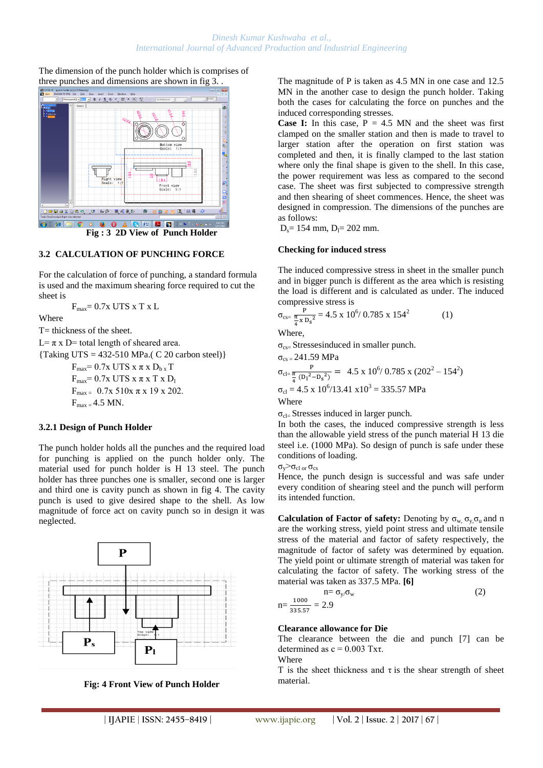The dimension of the punch holder which is comprises of three punches and dimensions are shown in fig 3. .



**Fig : 3 2D View of Punch Holder**

## **3.2 CALCULATION OF PUNCHING FORCE**

For the calculation of force of punching, a standard formula is used and the maximum shearing force required to cut the sheet is

 $F_{\text{max}} = 0.7x$  UTS  $x$  T  $x$  L

Where

T= thickness of the sheet.

 $L = \pi x$  D= total length of sheared area.

 ${Taking UTS} = 432-510 MPa. (C 20 carbon steel)$ 

 $F_{\text{max}}=0.7x$  UTS  $x \pi x D_{b x} T$  $F_{\text{max}}=0.7x$  UTS  $x \pi x$  T  $x D_1$  $F_{\text{max}} = 0.7x\ 510x\ \pi\ x\ 19\ x\ 202.$  $F_{max} = 4.5$  MN.

#### **3.2.1 Design of Punch Holder**

The punch holder holds all the punches and the required load for punching is applied on the punch holder only. The material used for punch holder is H 13 steel. The punch holder has three punches one is smaller, second one is larger and third one is cavity punch as shown in fig 4. The cavity punch is used to give desired shape to the shell. As low magnitude of force act on cavity punch so in design it was neglected.



**Fig: 4 Front View of Punch Holder**

The magnitude of P is taken as 4.5 MN in one case and 12.5 MN in the another case to design the punch holder. Taking both the cases for calculating the force on punches and the induced corresponding stresses.

**Case I:** In this case,  $P = 4.5$  MN and the sheet was first clamped on the smaller station and then is made to travel to larger station after the operation on first station was completed and then, it is finally clamped to the last station where only the final shape is given to the shell. In this case, the power requirement was less as compared to the second case. The sheet was first subjected to compressive strength and then shearing of sheet commences. Hence, the sheet was designed in compression. The dimensions of the punches are as follows:

 $D_s = 154$  mm,  $D_l = 202$  mm.

#### **Checking for induced stress**

The induced compressive stress in sheet in the smaller punch and in bigger punch is different as the area which is resisting the load is different and is calculated as under. The induced compressive stress is

$$
\sigma_{\text{cs}} = \frac{P}{\frac{\pi}{4} \times D_s^2} = 4.5 \times 10^6 / 0.785 \times 154^2 \tag{1}
$$

Where,

 $\sigma_{\rm cs}$  Stressesinduced in smaller punch.

$$
\sigma_{\text{cs}} = 241.59 \text{ MPa}
$$
\n
$$
\sigma_{\text{cl}} = \frac{P}{\frac{\pi}{4} (D_1^2 - D_s^2)} = 4.5 \text{ x } 10^6 / 0.785 \text{ x } (202^2 - 154^2)
$$
\n
$$
\sigma_{\text{cl}} = 4.5 \text{ x } 10^6 / 13.41 \text{ x} 10^3 = 335.57 \text{ MPa}
$$
\nWhere

 $\sigma_{\text{cl}}$  Stresses induced in larger punch.

In both the cases, the induced compressive strength is less than the allowable yield stress of the punch material H 13 die steel i.e. (1000 MPa). So design of punch is safe under these conditions of loading.

 $σ<sub>v</sub> > σ<sub>cl or</sub> σ<sub>cs</sub>$ 

Hence, the punch design is successful and was safe under every condition of shearing steel and the punch will perform its intended function.

**Calculation of Factor of safety:** Denoting by  $\sigma_w$ ,  $\sigma_v$ ,  $\sigma_u$  and n are the working stress, yield point stress and ultimate tensile stress of the material and factor of safety respectively, the magnitude of factor of safety was determined by equation. The yield point or ultimate strength of material was taken for calculating the factor of safety. The working stress of the material was taken as 337.5 MPa. **[6]**

$$
n = \frac{1000}{335.57} = 2.9
$$
 (2)

#### **Clearance allowance for Die**

The clearance between the die and punch [7] can be determined as  $c = 0.003$  Txt.

**Where** 

T is the sheet thickness and  $\tau$  is the shear strength of sheet material.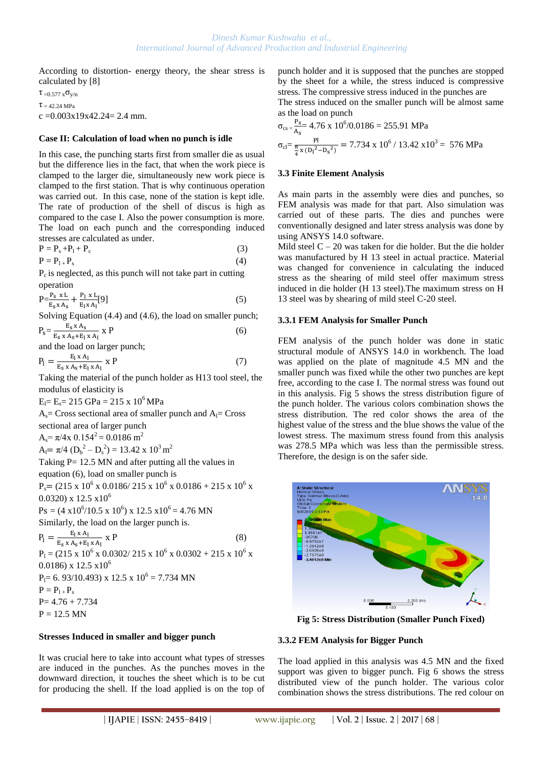According to distortion- energy theory, the shear stress is calculated by [8]

τ =0.577 xσy/n

 $\tau$  = 42.24 MPa

 $c = 0.003x19x42.24 = 2.4$  mm.

#### **Case II: Calculation of load when no punch is idle**

In this case, the punching starts first from smaller die as usual but the difference lies in the fact, that when the work piece is clamped to the larger die, simultaneously new work piece is clamped to the first station. That is why continuous operation was carried out. In this case, none of the station is kept idle. The rate of production of the shell of discus is high as compared to the case I. Also the power consumption is more. The load on each punch and the corresponding induced stresses are calculated as under.

$$
P = P_s + P_l + P_c \tag{3}
$$

 $P = P_{1+} P_s$  (4)

 $P_c$  is neglected, as this punch will not take part in cutting operation

$$
P = \frac{P_{s} \times L}{E_{s} \times A_{s}} + \frac{P_{l} \times L}{E_{l} \times A_{l}}[9]
$$
 (5)

Solving Equation (4.4) and (4.6), the load on smaller punch;  $E_{\alpha}$  x A

$$
P_s = \frac{E_s \times A_s}{E_s \times A_s + E_1 \times A_1} \times P \tag{6}
$$

and the load on larger punch;

$$
P_1 = \frac{E_1 \times A_1}{E_s \times A_s + E_1 \times A_1} \times P \tag{7}
$$

Taking the material of the punch holder as H13 tool steel, the modulus of elasticity is

 $E_1 = E_s = 215$  GPa = 215 x 10<sup>6</sup> MPa

 $A_s$ = Cross sectional area of smaller punch and  $A_l$ = Cross sectional area of larger punch  $A_s = \pi/4x$  0.154<sup>2</sup> = 0.0186 m<sup>2</sup>

 $A_l = \pi/4 (D_b^2 - D_s^2) = 13.42 \times 10^3 \text{ m}^2$ Taking  $P = 12.5$  MN and after putting all the values in

equation (6), load on smaller punch is

 $P_s = (215 \times 10^6 \times 0.0186 / 215 \times 10^6 \times 0.0186 + 215 \times 10^6 \times$  $(0.0320)$  x  $12.5$  x $10^6$ 

 $Ps = (4 \times 10^6/10.5 \times 10^6) \times 12.5 \times 10^6 = 4.76 \text{ MN}$ 

Similarly, the load on the larger punch is.

$$
P_1 = \frac{E_1 \times A_1}{E_s \times A_s + E_1 \times A_1} \times P
$$
(8)  
\n
$$
P_1 = (215 \times 10^6 \times 0.0302 / 215 \times 10^6 \times 0.0302 + 215 \times 10^6 \times 0.0186) \times 12.5 \times 10^6
$$
  
\n
$$
P_1 = 6.93/10.493 \times 12.5 \times 10^6 = 7.734 \text{ MN}
$$
  
\n
$$
P = P_{1+} P_s
$$
  
\n
$$
P = 4.76 + 7.734
$$
 (8)

 $P = 12.5$  MN

## **Stresses Induced in smaller and bigger punch**

It was crucial here to take into account what types of stresses are induced in the punches. As the punches moves in the downward direction, it touches the sheet which is to be cut for producing the shell. If the load applied is on the top of punch holder and it is supposed that the punches are stopped by the sheet for a while, the stress induced is compressive stress. The compressive stress induced in the punches are The stress induced on the smaller punch will be almost same as the load on punch

$$
\sigma_{\text{cs}} = \frac{P_{\text{S}}}{A_{\text{s}}} = 4.76 \times 10^6 / 0.0186 = 255.91 \text{ MPa}
$$
  

$$
\sigma_{\text{cl}} = \frac{Pl}{\frac{\pi}{4} \times (D_1^2 - D_s^2)} = 7.734 \times 10^6 / 13.42 \times 10^3 = 576 \text{ MPa}
$$

#### **3.3 Finite Element Analysis**

As main parts in the assembly were dies and punches, so FEM analysis was made for that part. Also simulation was carried out of these parts. The dies and punches were conventionally designed and later stress analysis was done by using ANSYS 14.0 software.

Mild steel  $C - 20$  was taken for die holder. But the die holder was manufactured by H 13 steel in actual practice. Material was changed for convenience in calculating the induced stress as the shearing of mild steel offer maximum stress induced in die holder (H 13 steel).The maximum stress on H 13 steel was by shearing of mild steel C-20 steel.

## **3.3.1 FEM Analysis for Smaller Punch**

FEM analysis of the punch holder was done in static structural module of ANSYS 14.0 in workbench. The load was applied on the plate of magnitude 4.5 MN and the smaller punch was fixed while the other two punches are kept free, according to the case I. The normal stress was found out in this analysis. Fig 5 shows the stress distribution figure of the punch holder. The various colors combination shows the stress distribution. The red color shows the area of the highest value of the stress and the blue shows the value of the lowest stress. The maximum stress found from this analysis was 278.5 MPa which was less than the permissible stress. Therefore, the design is on the safer side.



**Fig 5: Stress Distribution (Smaller Punch Fixed)** 

## **3.3.2 FEM Analysis for Bigger Punch**

The load applied in this analysis was 4.5 MN and the fixed support was given to bigger punch. Fig 6 shows the stress distributed view of the punch holder. The various color combination shows the stress distributions. The red colour on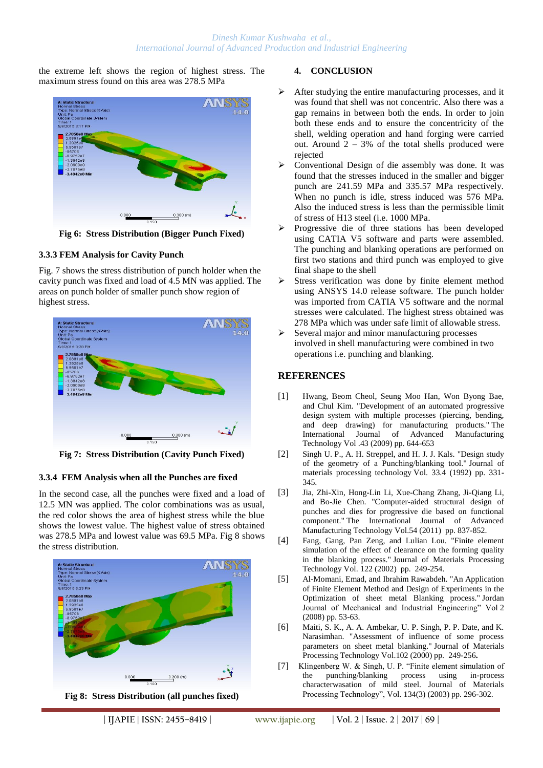the extreme left shows the region of highest stress. The maximum stress found on this area was 278.5 MPa



**Fig 6: Stress Distribution (Bigger Punch Fixed)**

## **3.3.3 FEM Analysis for Cavity Punch**

Fig. 7 shows the stress distribution of punch holder when the cavity punch was fixed and load of 4.5 MN was applied. The areas on punch holder of smaller punch show region of highest stress.



**Fig 7: Stress Distribution (Cavity Punch Fixed)**

## **3.3.4 FEM Analysis when all the Punches are fixed**

In the second case, all the punches were fixed and a load of 12.5 MN was applied. The color combinations was as usual, the red color shows the area of highest stress while the blue shows the lowest value. The highest value of stress obtained was 278.5 MPa and lowest value was 69.5 MPa. Fig 8 shows the stress distribution.





#### **4. CONCLUSION**

- After studying the entire manufacturing processes, and it was found that shell was not concentric. Also there was a gap remains in between both the ends. In order to join both these ends and to ensure the concentricity of the shell, welding operation and hand forging were carried out. Around  $2 - 3%$  of the total shells produced were rejected
- Conventional Design of die assembly was done. It was found that the stresses induced in the smaller and bigger punch are 241.59 MPa and 335.57 MPa respectively. When no punch is idle, stress induced was 576 MPa. Also the induced stress is less than the permissible limit of stress of H13 steel (i.e. 1000 MPa.
- Progressive die of three stations has been developed using CATIA V5 software and parts were assembled. The punching and blanking operations are performed on first two stations and third punch was employed to give final shape to the shell
- Stress verification was done by finite element method using ANSYS 14.0 release software. The punch holder was imported from CATIA V5 software and the normal stresses were calculated. The highest stress obtained was 278 MPa which was under safe limit of allowable stress.
- $\triangleright$  Several major and minor manufacturing processes involved in shell manufacturing were combined in two operations i.e. punching and blanking.

## **REFERENCES**

- [1] Hwang, Beom Cheol, Seung Moo Han, Won Byong Bae, and Chul Kim. "Development of an automated progressive design system with multiple processes (piercing, bending, and deep drawing) for manufacturing products." The International Journal of Advanced Manufacturing Technology Vol .43 (2009) pp. 644-653
- [2] Singh U. P., A. H. Streppel, and H. J. J. Kals. "Design study of the geometry of a Punching/blanking tool." Journal of materials processing technology Vol. 33.4 (1992) pp. 331- 345.
- [3] Jia, Zhi-Xin, Hong-Lin Li, Xue-Chang Zhang, Ji-Qiang Li, and Bo-Jie Chen. "Computer-aided structural design of punches and dies for progressive die based on functional component." The International Journal of Advanced Manufacturing Technology Vol.54 (2011) pp. 837-852.
- [4] Fang, Gang, Pan Zeng, and Lulian Lou. "Finite element simulation of the effect of clearance on the forming quality in the blanking process." Journal of Materials Processing Technology Vol. 122 (2002) pp. 249-254.
- [5] Al-Momani, Emad, and Ibrahim Rawabdeh. "An Application of Finite Element Method and Design of Experiments in the Optimization of sheet metal Blanking process." Jordan Journal of Mechanical and Industrial Engineering" Vol 2 (2008) pp. 53-63.
- [6] Maiti, S. K., A. A. Ambekar, U. P. Singh, P. P. Date, and K. Narasimhan. "Assessment of influence of some process parameters on sheet metal blanking." Journal of Materials Processing Technology Vol.102 (2000) pp. 249-256**.**
- [7] Klingenberg W. & Singh, U. P. "Finite element simulation of the punching/blanking process using in-process characterwasation of mild steel. Journal of Materials Processing Technology", Vol. 134(3) (2003) pp. 296-302.